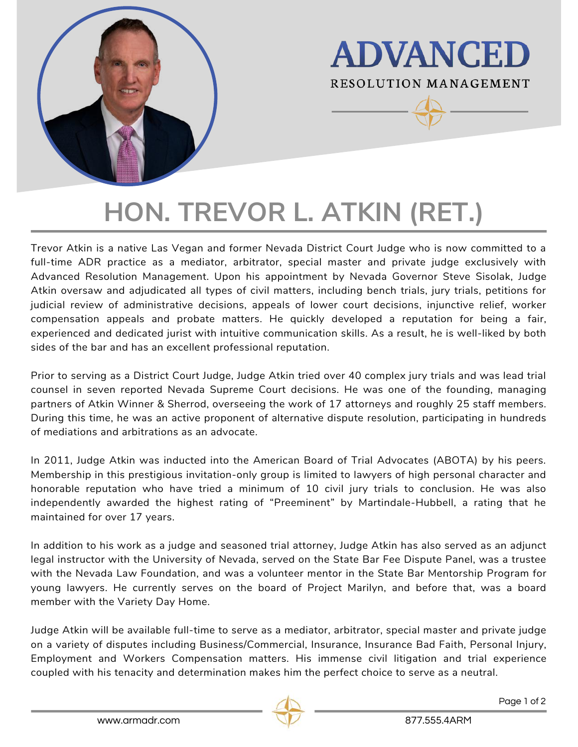

**ADVANCED RESOLUTION MANAGEMENT** 

# **HON. TREVOR L. ATKIN (RET.)**

Trevor Atkin is a native Las Vegan and former Nevada District Court Judge who is now committed to a full-time ADR practice as a mediator, arbitrator, special master and private judge exclusively with Advanced Resolution Management. Upon his appointment by Nevada Governor Steve Sisolak, Judge Atkin oversaw and adjudicated all types of civil matters, including bench trials, jury trials, petitions for judicial review of administrative decisions, appeals of lower court decisions, injunctive relief, worker compensation appeals and probate matters. He quickly developed a reputation for being a fair, experienced and dedicated jurist with intuitive communication skills. As a result, he is well-liked by both sides of the bar and has an excellent professional reputation.

Prior to serving as a District Court Judge, Judge Atkin tried over 40 complex jury trials and was lead trial counsel in seven reported Nevada Supreme Court decisions. He was one of the founding, managing partners of Atkin Winner & Sherrod, overseeing the work of 17 attorneys and roughly 25 staff members. During this time, he was an active proponent of alternative dispute resolution, participating in hundreds of mediations and arbitrations as an advocate.

In 2011, Judge Atkin was inducted into the American Board of Trial Advocates (ABOTA) by his peers. Membership in this prestigious invitation-only group is limited to lawyers of high personal character and honorable reputation who have tried a minimum of 10 civil jury trials to conclusion. He was also independently awarded the highest rating of "Preeminent" by Martindale-Hubbell, a rating that he maintained for over 17 years.

In addition to his work as a judge and seasoned trial attorney, Judge Atkin has also served as an adjunct legal instructor with the University of Nevada, served on the State Bar Fee Dispute Panel, was a trustee with the Nevada Law Foundation, and was a volunteer mentor in the State Bar Mentorship Program for young lawyers. He currently serves on the board of Project Marilyn, and before that, was a board member with the Variety Day Home.

Judge Atkin will be available full-time to serve as a mediator, arbitrator, special master and private judge on a variety of disputes including Business/Commercial, Insurance, Insurance Bad Faith, Personal Injury, Employment and Workers Compensation matters. His immense civil litigation and trial experience coupled with his tenacity and determination makes him the perfect choice to serve as a neutral.

Page 1 of 2